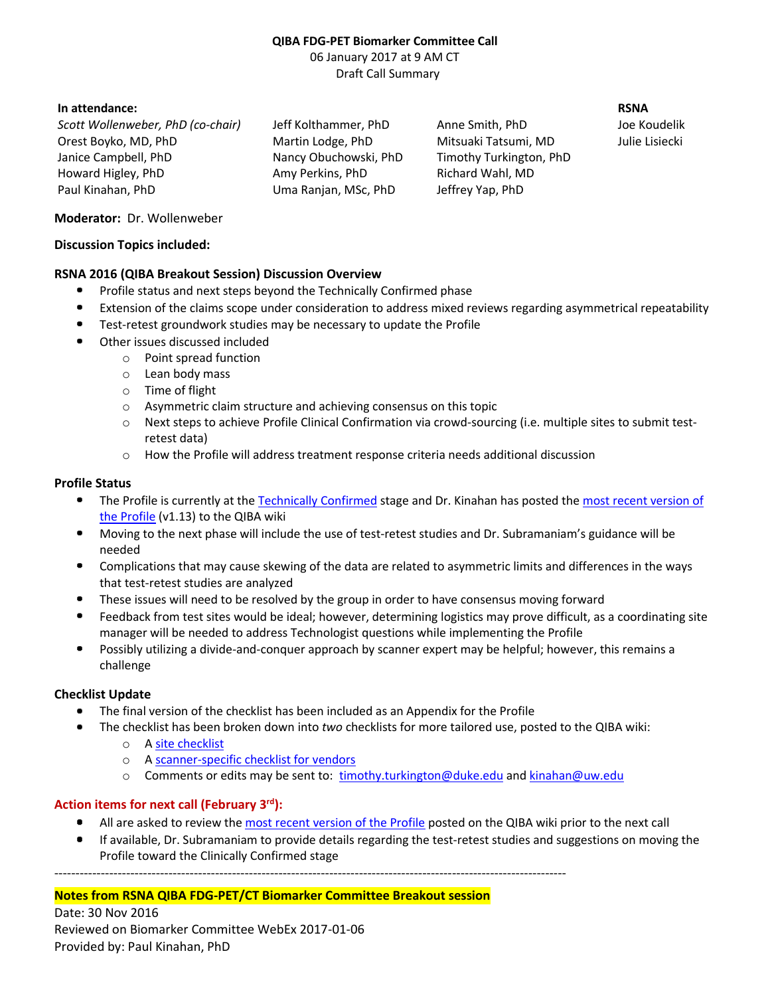# **QIBA FDG-PET Biomarker Committee Call**

06 January 2017 at 9 AM CT Draft Call Summary

# **In attendance: RSNA**

*Scott Wollenweber, PhD (co-chair)* Jeff Kolthammer, PhD Anne Smith, PhD Joe Koudelik Orest Boyko, MD, PhD Martin Lodge, PhD Mitsuaki Tatsumi, MD Julie Lisiecki Janice Campbell, PhD Nancy Obuchowski, PhD Timothy Turkington, PhD Howard Higley, PhD Amy Perkins, PhD Richard Wahl, MD Paul Kinahan, PhD Uma Ranjan, MSc, PhD Jeffrey Yap, PhD

## **Moderator:** Dr. Wollenweber

#### **Discussion Topics included:**

## **RSNA 2016 (QIBA Breakout Session) Discussion Overview**

- $\bullet$ Profile status and next steps beyond the Technically Confirmed phase
- Extension of the claims scope under consideration to address mixed reviews regarding asymmetrical repeatability ۰
- Test-retest groundwork studies may be necessary to update the Profile  $\blacksquare$
- $\bullet$ Other issues discussed included
	- o Point spread function
	- o Lean body mass
	- o Time of flight
	- o Asymmetric claim structure and achieving consensus on this topic
	- o Next steps to achieve Profile Clinical Confirmation via crowd-sourcing (i.e. multiple sites to submit testretest data)
	- o How the Profile will address treatment response criteria needs additional discussion

## **Profile Status**

- $\bullet$  . The Profile is currently at the [Technically Confirmed](http://qibawiki.rsna.org/index.php/QIBA_Profile_Stages) stage and Dr. Kinahan has posted th[e most recent version of](http://qibawiki.rsna.org/images/1/1f/QIBA_FDG-PET_Profile_v113.pdf)  [the Profile](http://qibawiki.rsna.org/images/1/1f/QIBA_FDG-PET_Profile_v113.pdf) (v1.13) to the QIBA wiki
- $\bullet$ Moving to the next phase will include the use of test-retest studies and Dr. Subramaniam's guidance will be needed
- $\bullet$ Complications that may cause skewing of the data are related to asymmetric limits and differences in the ways that test-retest studies are analyzed
- $\bullet$ These issues will need to be resolved by the group in order to have consensus moving forward
- $\bullet$ Feedback from test sites would be ideal; however, determining logistics may prove difficult, as a coordinating site manager will be needed to address Technologist questions while implementing the Profile
- $\bullet$ Possibly utilizing a divide-and-conquer approach by scanner expert may be helpful; however, this remains a challenge

## **Checklist Update**

- $\bullet$ The final version of the checklist has been included as an Appendix for the Profile
- The checklist has been broken down into *two* checklists for more tailored use, posted to the QIBA wiki:
	- o [A site checklist](http://qibawiki.rsna.org/images/2/23/Site-checklist-table-v3.docx)
	- o [A scanner-specific checklist for vendors](http://qibawiki.rsna.org/images/1/18/Scanner-checklist-table-v1.docx)
	- o Comments or edits may be sent to: [timothy.turkington@duke.edu](mailto:timothy.turkington@duke.edu) and [kinahan@uw.edu](mailto:kinahan@uw.edu)

# **Action items for next call (February 3rd):**

- $\blacksquare$ All are asked to review the [most recent version of the Profile](http://qibawiki.rsna.org/images/1/1f/QIBA_FDG-PET_Profile_v113.pdf) posted on the QIBA wiki prior to the next call
- $\blacksquare$ If available, Dr. Subramaniam to provide details regarding the test-retest studies and suggestions on moving the Profile toward the Clinically Confirmed stage

-------------------------------------------------------------------------------------------------------------------------

## **Notes from RSNA QIBA FDG-PET/CT Biomarker Committee Breakout session**

Date: 30 Nov 2016 Reviewed on Biomarker Committee WebEx 2017-01-06 Provided by: Paul Kinahan, PhD